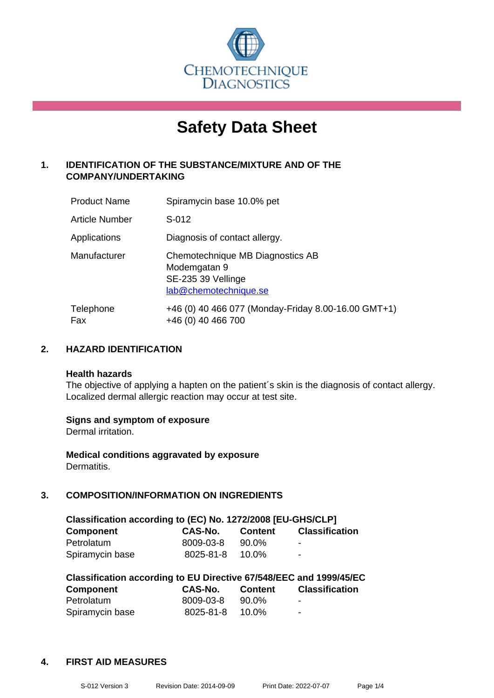

# **Safety Data Sheet**

## **1. IDENTIFICATION OF THE SUBSTANCE/MIXTURE AND OF THE COMPANY/UNDERTAKING**

| <b>Product Name</b> | Spiramycin base 10.0% pet                                                                       |
|---------------------|-------------------------------------------------------------------------------------------------|
| Article Number      | S-012                                                                                           |
| Applications        | Diagnosis of contact allergy.                                                                   |
| Manufacturer        | Chemotechnique MB Diagnostics AB<br>Modemgatan 9<br>SE-235 39 Vellinge<br>lab@chemotechnique.se |
| Telephone<br>Fax    | +46 (0) 40 466 077 (Monday-Friday 8.00-16.00 GMT+1)<br>+46 (0) 40 466 700                       |

## **2. HAZARD IDENTIFICATION**

#### **Health hazards**

The objective of applying a hapten on the patient's skin is the diagnosis of contact allergy. Localized dermal allergic reaction may occur at test site.

## **Signs and symptom of exposure**

Dermal irritation.

**Medical conditions aggravated by exposure** Dermatitis.

## **3. COMPOSITION/INFORMATION ON INGREDIENTS**

| Classification according to (EC) No. 1272/2008 [EU-GHS/CLP] |           |                |                       |  |
|-------------------------------------------------------------|-----------|----------------|-----------------------|--|
| <b>Component</b>                                            | CAS-No.   | <b>Content</b> | <b>Classification</b> |  |
| Petrolatum                                                  | 8009-03-8 | 90.0%          | -                     |  |
| Spiramycin base                                             | 8025-81-8 | $10.0\%$       | $\blacksquare$        |  |

| Classification according to EU Directive 67/548/EEC and 1999/45/EC |           |         |                       |  |  |
|--------------------------------------------------------------------|-----------|---------|-----------------------|--|--|
| <b>Component</b>                                                   | CAS-No.   | Content | <b>Classification</b> |  |  |
| Petrolatum                                                         | 8009-03-8 | 90.0%   | -                     |  |  |
| Spiramycin base                                                    | 8025-81-8 | 10.0%   | -                     |  |  |

#### **4. FIRST AID MEASURES**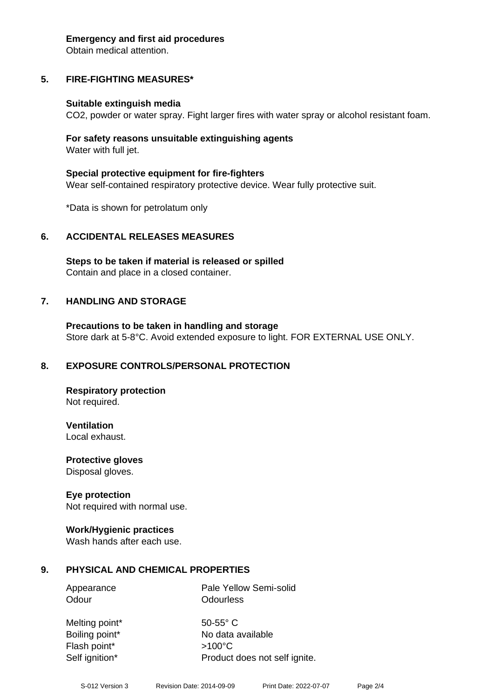#### **Emergency and first aid procedures**

Obtain medical attention.

# **5. FIRE-FIGHTING MEASURES\***

## **Suitable extinguish media**

CO2, powder or water spray. Fight larger fires with water spray or alcohol resistant foam.

## **For safety reasons unsuitable extinguishing agents** Water with full jet.

**Special protective equipment for fire-fighters** Wear self-contained respiratory protective device. Wear fully protective suit.

\*Data is shown for petrolatum only

# **6. ACCIDENTAL RELEASES MEASURES**

**Steps to be taken if material is released or spilled** Contain and place in a closed container.

# **7. HANDLING AND STORAGE**

**Precautions to be taken in handling and storage** Store dark at 5-8°C. Avoid extended exposure to light. FOR EXTERNAL USE ONLY.

# **8. EXPOSURE CONTROLS/PERSONAL PROTECTION**

**Respiratory protection** Not required.

**Ventilation** Local exhaust.

**Protective gloves** Disposal gloves.

# **Eye protection**

Not required with normal use.

## **Work/Hygienic practices**

Wash hands after each use.

# **9. PHYSICAL AND CHEMICAL PROPERTIES**

Appearance Pale Yellow Semi-solid Odour **Odourless** 

Melting point\* 50-55° C Boiling point\* No data available Flash point\* >100°C Self ignition\* Product does not self ignite.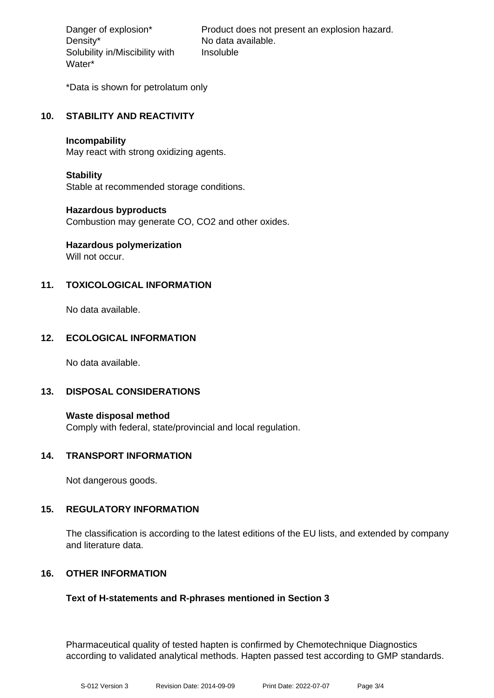Density\* No data available. Solubility in/Miscibility with Water\*

Danger of explosion\* Product does not present an explosion hazard. Insoluble

\*Data is shown for petrolatum only

## **10. STABILITY AND REACTIVITY**

#### **Incompability**

May react with strong oxidizing agents.

## **Stability**

Stable at recommended storage conditions.

## **Hazardous byproducts**

Combustion may generate CO, CO2 and other oxides.

# **Hazardous polymerization**

Will not occur.

## **11. TOXICOLOGICAL INFORMATION**

No data available.

## **12. ECOLOGICAL INFORMATION**

No data available.

## **13. DISPOSAL CONSIDERATIONS**

**Waste disposal method** Comply with federal, state/provincial and local regulation.

## **14. TRANSPORT INFORMATION**

Not dangerous goods.

## **15. REGULATORY INFORMATION**

The classification is according to the latest editions of the EU lists, and extended by company and literature data.

## **16. OTHER INFORMATION**

## **Text of H-statements and R-phrases mentioned in Section 3**

Pharmaceutical quality of tested hapten is confirmed by Chemotechnique Diagnostics according to validated analytical methods. Hapten passed test according to GMP standards.